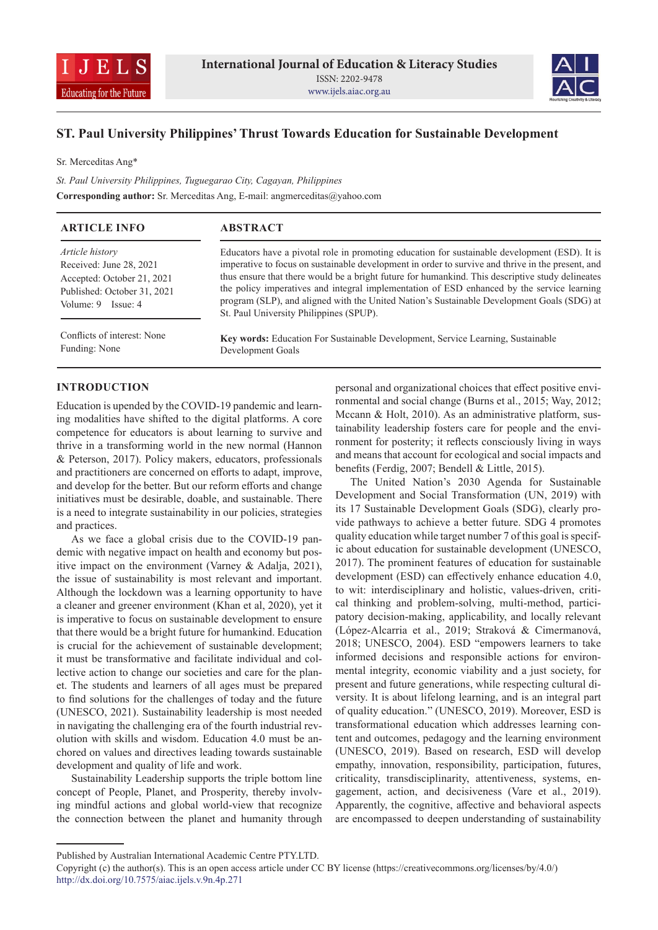



# **ST. Paul University Philippines' Thrust Towards Education for Sustainable Development**

Sr. Merceditas Ang\*

*St. Paul University Philippines, Tuguegarao City, Cagayan, Philippines* **Corresponding author:** Sr. Merceditas Ang, E-mail: angmerceditas@yahoo.com

| <b>ARTICLE INFO</b>                                                                                                               | <b>ABSTRACT</b>                                                                                                                                                                                                                                                                                                                                                                                                                                                                                                                               |
|-----------------------------------------------------------------------------------------------------------------------------------|-----------------------------------------------------------------------------------------------------------------------------------------------------------------------------------------------------------------------------------------------------------------------------------------------------------------------------------------------------------------------------------------------------------------------------------------------------------------------------------------------------------------------------------------------|
| Article history<br>Received: June 28, 2021<br>Accepted: October 21, 2021<br>Published: October 31, 2021<br>Volume: $9$ Issue: $4$ | Educators have a pivotal role in promoting education for sustainable development (ESD). It is<br>imperative to focus on sustainable development in order to survive and thrive in the present, and<br>thus ensure that there would be a bright future for humankind. This descriptive study delineates<br>the policy imperatives and integral implementation of ESD enhanced by the service learning<br>program (SLP), and aligned with the United Nation's Sustainable Development Goals (SDG) at<br>St. Paul University Philippines (SPUP). |
| Conflicts of interest: None<br>Funding: None                                                                                      | <b>Key words:</b> Education For Sustainable Development, Service Learning, Sustainable<br>Development Goals                                                                                                                                                                                                                                                                                                                                                                                                                                   |

## **INTRODUCTION**

Education is upended by the COVID-19 pandemic and learning modalities have shifted to the digital platforms. A core competence for educators is about learning to survive and thrive in a transforming world in the new normal (Hannon & Peterson, 2017). Policy makers, educators, professionals and practitioners are concerned on efforts to adapt, improve, and develop for the better. But our reform efforts and change initiatives must be desirable, doable, and sustainable. There is a need to integrate sustainability in our policies, strategies and practices.

As we face a global crisis due to the COVID-19 pandemic with negative impact on health and economy but positive impact on the environment (Varney & Adalja, 2021), the issue of sustainability is most relevant and important. Although the lockdown was a learning opportunity to have a cleaner and greener environment (Khan et al, 2020), yet it is imperative to focus on sustainable development to ensure that there would be a bright future for humankind. Education is crucial for the achievement of sustainable development; it must be transformative and facilitate individual and collective action to change our societies and care for the planet. The students and learners of all ages must be prepared to find solutions for the challenges of today and the future (UNESCO, 2021). Sustainability leadership is most needed in navigating the challenging era of the fourth industrial revolution with skills and wisdom. Education 4.0 must be anchored on values and directives leading towards sustainable development and quality of life and work.

Sustainability Leadership supports the triple bottom line concept of People, Planet, and Prosperity, thereby involving mindful actions and global world-view that recognize the connection between the planet and humanity through personal and organizational choices that effect positive environmental and social change (Burns et al., 2015; Way, 2012; Mccann & Holt, 2010). As an administrative platform, sustainability leadership fosters care for people and the environment for posterity; it reflects consciously living in ways and means that account for ecological and social impacts and benefits (Ferdig, 2007; Bendell & Little, 2015).

The United Nation's 2030 Agenda for Sustainable Development and Social Transformation (UN, 2019) with its 17 Sustainable Development Goals (SDG), clearly provide pathways to achieve a better future. SDG 4 promotes quality education while target number 7 of this goal is specific about education for sustainable development (UNESCO, 2017). The prominent features of education for sustainable development (ESD) can effectively enhance education 4.0, to wit: interdisciplinary and holistic, values-driven, critical thinking and problem-solving, multi-method, participatory decision-making, applicability, and locally relevant (López-Alcarria et al., 2019; Straková & Cimermanová, 2018; UNESCO, 2004). ESD "empowers learners to take informed decisions and responsible actions for environmental integrity, economic viability and a just society, for present and future generations, while respecting cultural diversity. It is about lifelong learning, and is an integral part of quality education." (UNESCO, 2019). Moreover, ESD is transformational education which addresses learning content and outcomes, pedagogy and the learning environment (UNESCO, 2019). Based on research, ESD will develop empathy, innovation, responsibility, participation, futures, criticality, transdisciplinarity, attentiveness, systems, engagement, action, and decisiveness (Vare et al., 2019). Apparently, the cognitive, affective and behavioral aspects are encompassed to deepen understanding of sustainability

Published by Australian International Academic Centre PTY.LTD.

Copyright (c) the author(s). This is an open access article under CC BY license (https://creativecommons.org/licenses/by/4.0/) http://dx.doi.org/10.7575/aiac.ijels.v.9n.4p.271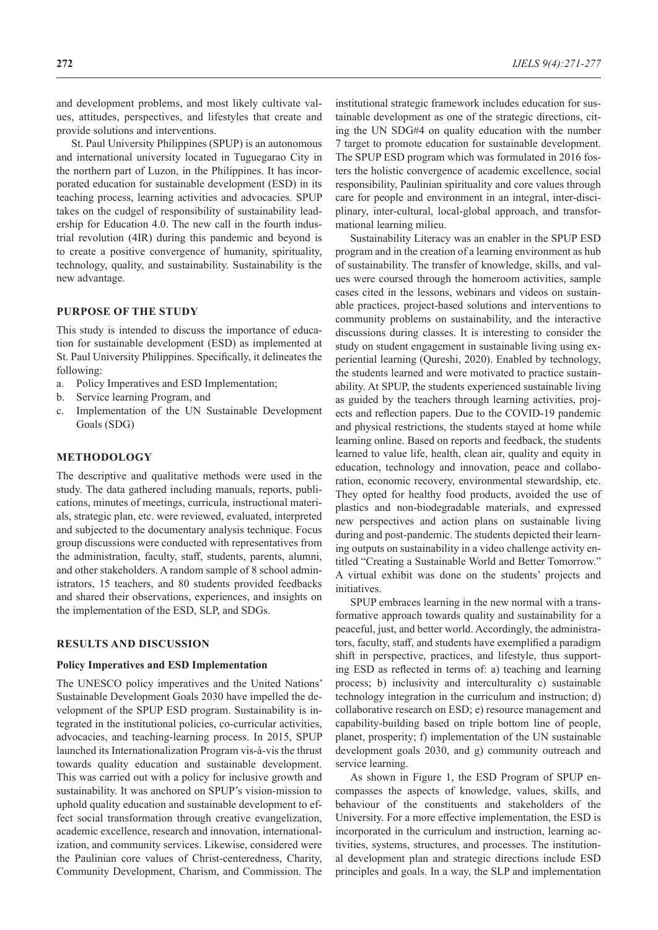and development problems, and most likely cultivate values, attitudes, perspectives, and lifestyles that create and provide solutions and interventions.

St. Paul University Philippines (SPUP) is an autonomous and international university located in Tuguegarao City in the northern part of Luzon, in the Philippines. It has incorporated education for sustainable development (ESD) in its teaching process, learning activities and advocacies. SPUP takes on the cudgel of responsibility of sustainability leadership for Education 4.0. The new call in the fourth industrial revolution (4IR) during this pandemic and beyond is to create a positive convergence of humanity, spirituality, technology, quality, and sustainability. Sustainability is the new advantage.

## **PURPOSE OF THE STUDY**

This study is intended to discuss the importance of education for sustainable development (ESD) as implemented at St. Paul University Philippines. Specifically, it delineates the following:

- a. Policy Imperatives and ESD Implementation;
- b. Service learning Program, and
- c. Implementation of the UN Sustainable Development Goals (SDG)

### **METHODOLOGY**

The descriptive and qualitative methods were used in the study. The data gathered including manuals, reports, publications, minutes of meetings, curricula, instructional materials, strategic plan, etc. were reviewed, evaluated, interpreted and subjected to the documentary analysis technique. Focus group discussions were conducted with representatives from the administration, faculty, staff, students, parents, alumni, and other stakeholders. A random sample of 8 school administrators, 15 teachers, and 80 students provided feedbacks and shared their observations, experiences, and insights on the implementation of the ESD, SLP, and SDGs.

#### **RESULTS AND DISCUSSION**

#### **Policy Imperatives and ESD Implementation**

The UNESCO policy imperatives and the United Nations' Sustainable Development Goals 2030 have impelled the development of the SPUP ESD program. Sustainability is integrated in the institutional policies, co-curricular activities, advocacies, and teaching-learning process. In 2015, SPUP launched its Internationalization Program vis-à-vis the thrust towards quality education and sustainable development. This was carried out with a policy for inclusive growth and sustainability. It was anchored on SPUP's vision-mission to uphold quality education and sustainable development to effect social transformation through creative evangelization, academic excellence, research and innovation, internationalization, and community services. Likewise, considered were the Paulinian core values of Christ-centeredness, Charity, Community Development, Charism, and Commission. The

institutional strategic framework includes education for sustainable development as one of the strategic directions, citing the UN SDG#4 on quality education with the number 7 target to promote education for sustainable development. The SPUP ESD program which was formulated in 2016 fosters the holistic convergence of academic excellence, social responsibility, Paulinian spirituality and core values through care for people and environment in an integral, inter-disciplinary, inter-cultural, local-global approach, and transformational learning milieu.

Sustainability Literacy was an enabler in the SPUP ESD program and in the creation of a learning environment as hub of sustainability. The transfer of knowledge, skills, and values were coursed through the homeroom activities, sample cases cited in the lessons, webinars and videos on sustainable practices, project-based solutions and interventions to community problems on sustainability, and the interactive discussions during classes. It is interesting to consider the study on student engagement in sustainable living using experiential learning (Qureshi, 2020). Enabled by technology, the students learned and were motivated to practice sustainability. At SPUP, the students experienced sustainable living as guided by the teachers through learning activities, projects and reflection papers. Due to the COVID-19 pandemic and physical restrictions, the students stayed at home while learning online. Based on reports and feedback, the students learned to value life, health, clean air, quality and equity in education, technology and innovation, peace and collaboration, economic recovery, environmental stewardship, etc. They opted for healthy food products, avoided the use of plastics and non-biodegradable materials, and expressed new perspectives and action plans on sustainable living during and post-pandemic. The students depicted their learning outputs on sustainability in a video challenge activity entitled "Creating a Sustainable World and Better Tomorrow." A virtual exhibit was done on the students' projects and initiatives.

SPUP embraces learning in the new normal with a transformative approach towards quality and sustainability for a peaceful, just, and better world. Accordingly, the administrators, faculty, staff, and students have exemplified a paradigm shift in perspective, practices, and lifestyle, thus supporting ESD as reflected in terms of: a) teaching and learning process; b) inclusivity and interculturality c) sustainable technology integration in the curriculum and instruction; d) collaborative research on ESD; e) resource management and capability-building based on triple bottom line of people, planet, prosperity; f) implementation of the UN sustainable development goals 2030, and g) community outreach and service learning.

As shown in Figure 1, the ESD Program of SPUP encompasses the aspects of knowledge, values, skills, and behaviour of the constituents and stakeholders of the University. For a more effective implementation, the ESD is incorporated in the curriculum and instruction, learning activities, systems, structures, and processes. The institutional development plan and strategic directions include ESD principles and goals. In a way, the SLP and implementation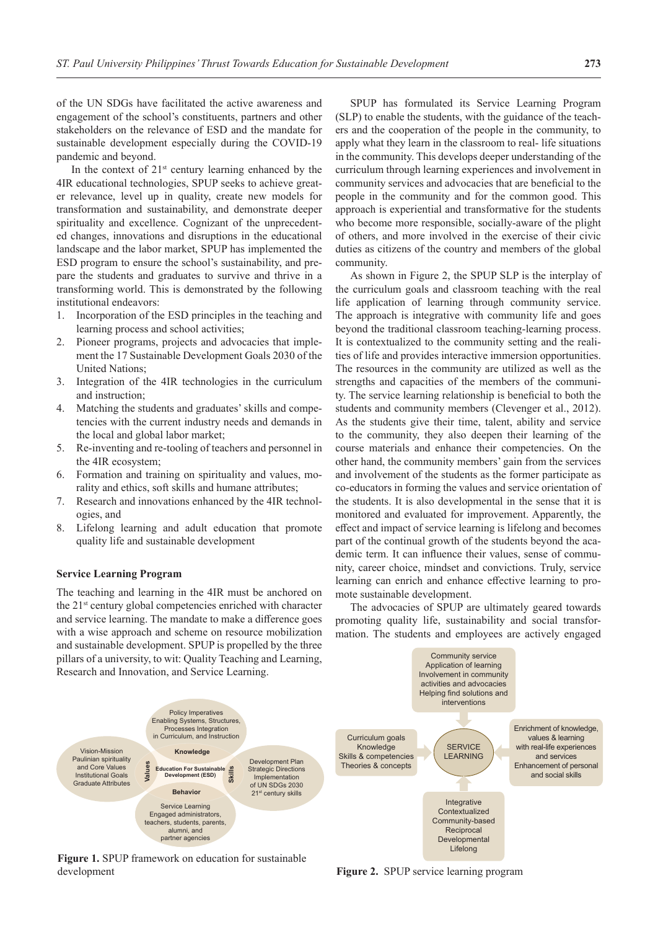of the UN SDGs have facilitated the active awareness and engagement of the school's constituents, partners and other stakeholders on the relevance of ESD and the mandate for sustainable development especially during the COVID-19 pandemic and beyond.

In the context of  $21<sup>st</sup>$  century learning enhanced by the 4IR educational technologies, SPUP seeks to achieve greater relevance, level up in quality, create new models for transformation and sustainability, and demonstrate deeper spirituality and excellence. Cognizant of the unprecedented changes, innovations and disruptions in the educational landscape and the labor market, SPUP has implemented the ESD program to ensure the school's sustainability, and prepare the students and graduates to survive and thrive in a transforming world. This is demonstrated by the following institutional endeavors:

- 1. Incorporation of the ESD principles in the teaching and learning process and school activities;
- 2. Pioneer programs, projects and advocacies that implement the 17 Sustainable Development Goals 2030 of the United Nations;
- 3. Integration of the 4IR technologies in the curriculum and instruction;
- 4. Matching the students and graduates' skills and competencies with the current industry needs and demands in the local and global labor market;
- 5. Re-inventing and re-tooling of teachers and personnel in the 4IR ecosystem;
- 6. Formation and training on spirituality and values, morality and ethics, soft skills and humane attributes;
- 7. Research and innovations enhanced by the 4IR technologies, and
- 8. Lifelong learning and adult education that promote quality life and sustainable development

#### **Service Learning Program**

The teaching and learning in the 4IR must be anchored on the 21st century global competencies enriched with character and service learning. The mandate to make a difference goes with a wise approach and scheme on resource mobilization and sustainable development. SPUP is propelled by the three pillars of a university, to wit: Quality Teaching and Learning,

SPUP has formulated its Service Learning Program (SLP) to enable the students, with the guidance of the teachers and the cooperation of the people in the community, to apply what they learn in the classroom to real- life situations in the community. This develops deeper understanding of the curriculum through learning experiences and involvement in community services and advocacies that are beneficial to the people in the community and for the common good. This approach is experiential and transformative for the students who become more responsible, socially-aware of the plight of others, and more involved in the exercise of their civic duties as citizens of the country and members of the global community.

As shown in Figure 2, the SPUP SLP is the interplay of the curriculum goals and classroom teaching with the real life application of learning through community service. The approach is integrative with community life and goes beyond the traditional classroom teaching-learning process. It is contextualized to the community setting and the realities of life and provides interactive immersion opportunities. The resources in the community are utilized as well as the strengths and capacities of the members of the community. The service learning relationship is beneficial to both the students and community members (Clevenger et al., 2012). As the students give their time, talent, ability and service to the community, they also deepen their learning of the course materials and enhance their competencies. On the other hand, the community members' gain from the services and involvement of the students as the former participate as co-educators in forming the values and service orientation of the students. It is also developmental in the sense that it is monitored and evaluated for improvement. Apparently, the effect and impact of service learning is lifelong and becomes part of the continual growth of the students beyond the academic term. It can influence their values, sense of community, career choice, mindset and convictions. Truly, service learning can enrich and enhance effective learning to promote sustainable development.

The advocacies of SPUP are ultimately geared towards promoting quality life, sustainability and social transformation. The students and employees are actively engaged

Community service



**Figure 1.** SPUP framework on education for sustainable development

**Figure 2.** SPUP service learning program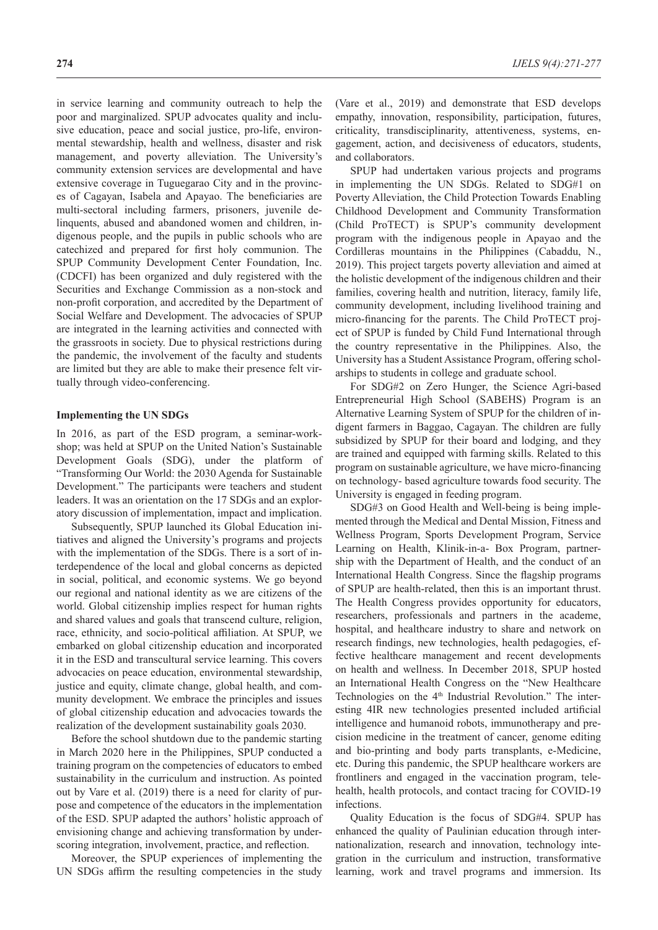in service learning and community outreach to help the poor and marginalized. SPUP advocates quality and inclusive education, peace and social justice, pro-life, environmental stewardship, health and wellness, disaster and risk management, and poverty alleviation. The University's community extension services are developmental and have extensive coverage in Tuguegarao City and in the provinces of Cagayan, Isabela and Apayao. The beneficiaries are multi-sectoral including farmers, prisoners, juvenile delinquents, abused and abandoned women and children, indigenous people, and the pupils in public schools who are catechized and prepared for first holy communion. The SPUP Community Development Center Foundation, Inc. (CDCFI) has been organized and duly registered with the Securities and Exchange Commission as a non-stock and non-profit corporation, and accredited by the Department of Social Welfare and Development. The advocacies of SPUP are integrated in the learning activities and connected with the grassroots in society. Due to physical restrictions during the pandemic, the involvement of the faculty and students are limited but they are able to make their presence felt virtually through video-conferencing.

### **Implementing the UN SDGs**

In 2016, as part of the ESD program, a seminar-workshop; was held at SPUP on the United Nation's Sustainable Development Goals (SDG), under the platform of "Transforming Our World: the 2030 Agenda for Sustainable Development." The participants were teachers and student leaders. It was an orientation on the 17 SDGs and an exploratory discussion of implementation, impact and implication.

Subsequently, SPUP launched its Global Education initiatives and aligned the University's programs and projects with the implementation of the SDGs. There is a sort of interdependence of the local and global concerns as depicted in social, political, and economic systems. We go beyond our regional and national identity as we are citizens of the world. Global citizenship implies respect for human rights and shared values and goals that transcend culture, religion, race, ethnicity, and socio-political affiliation. At SPUP, we embarked on global citizenship education and incorporated it in the ESD and transcultural service learning. This covers advocacies on peace education, environmental stewardship, justice and equity, climate change, global health, and community development. We embrace the principles and issues of global citizenship education and advocacies towards the realization of the development sustainability goals 2030.

Before the school shutdown due to the pandemic starting in March 2020 here in the Philippines, SPUP conducted a training program on the competencies of educators to embed sustainability in the curriculum and instruction. As pointed out by Vare et al. (2019) there is a need for clarity of purpose and competence of the educators in the implementation of the ESD. SPUP adapted the authors' holistic approach of envisioning change and achieving transformation by underscoring integration, involvement, practice, and reflection.

Moreover, the SPUP experiences of implementing the UN SDGs affirm the resulting competencies in the study

(Vare et al., 2019) and demonstrate that ESD develops empathy, innovation, responsibility, participation, futures, criticality, transdisciplinarity, attentiveness, systems, engagement, action, and decisiveness of educators, students, and collaborators.

SPUP had undertaken various projects and programs in implementing the UN SDGs. Related to SDG#1 on Poverty Alleviation, the Child Protection Towards Enabling Childhood Development and Community Transformation (Child ProTECT) is SPUP's community development program with the indigenous people in Apayao and the Cordilleras mountains in the Philippines (Cabaddu, N., 2019). This project targets poverty alleviation and aimed at the holistic development of the indigenous children and their families, covering health and nutrition, literacy, family life, community development, including livelihood training and micro-financing for the parents. The Child ProTECT project of SPUP is funded by Child Fund International through the country representative in the Philippines. Also, the University has a Student Assistance Program, offering scholarships to students in college and graduate school.

For SDG#2 on Zero Hunger, the Science Agri-based Entrepreneurial High School (SABEHS) Program is an Alternative Learning System of SPUP for the children of indigent farmers in Baggao, Cagayan. The children are fully subsidized by SPUP for their board and lodging, and they are trained and equipped with farming skills. Related to this program on sustainable agriculture, we have micro-financing on technology- based agriculture towards food security. The University is engaged in feeding program.

SDG#3 on Good Health and Well-being is being implemented through the Medical and Dental Mission, Fitness and Wellness Program, Sports Development Program, Service Learning on Health, Klinik-in-a- Box Program, partnership with the Department of Health, and the conduct of an International Health Congress. Since the flagship programs of SPUP are health-related, then this is an important thrust. The Health Congress provides opportunity for educators, researchers, professionals and partners in the academe, hospital, and healthcare industry to share and network on research findings, new technologies, health pedagogies, effective healthcare management and recent developments on health and wellness. In December 2018, SPUP hosted an International Health Congress on the "New Healthcare Technologies on the 4<sup>th</sup> Industrial Revolution." The interesting 4IR new technologies presented included artificial intelligence and humanoid robots, immunotherapy and precision medicine in the treatment of cancer, genome editing and bio-printing and body parts transplants, e-Medicine, etc. During this pandemic, the SPUP healthcare workers are frontliners and engaged in the vaccination program, telehealth, health protocols, and contact tracing for COVID-19 infections.

Quality Education is the focus of SDG#4. SPUP has enhanced the quality of Paulinian education through internationalization, research and innovation, technology integration in the curriculum and instruction, transformative learning, work and travel programs and immersion. Its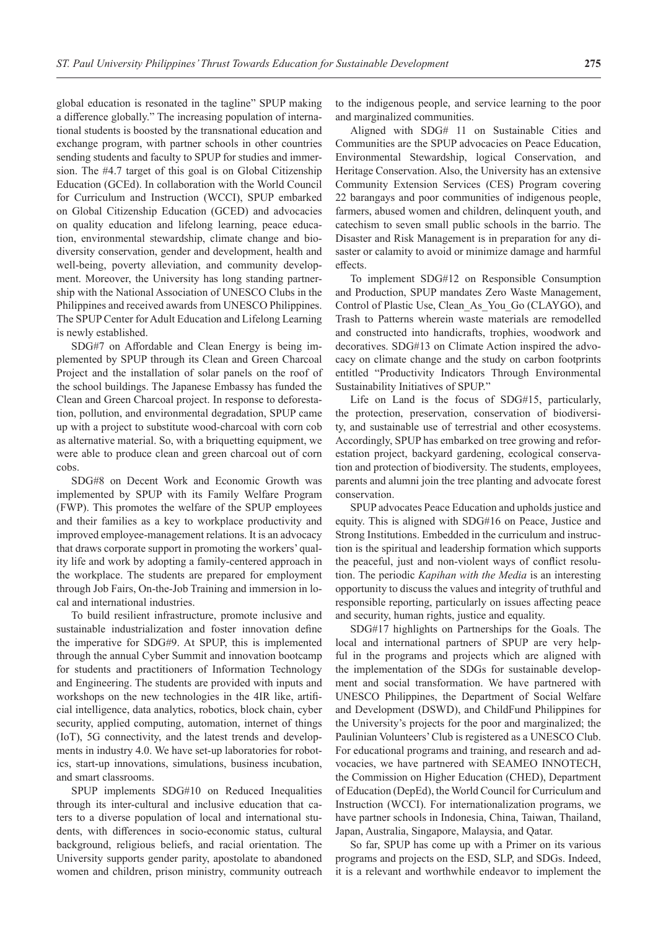global education is resonated in the tagline" SPUP making a difference globally." The increasing population of international students is boosted by the transnational education and exchange program, with partner schools in other countries sending students and faculty to SPUP for studies and immersion. The #4.7 target of this goal is on Global Citizenship Education (GCEd). In collaboration with the World Council for Curriculum and Instruction (WCCI), SPUP embarked on Global Citizenship Education (GCED) and advocacies on quality education and lifelong learning, peace education, environmental stewardship, climate change and biodiversity conservation, gender and development, health and well-being, poverty alleviation, and community development. Moreover, the University has long standing partnership with the National Association of UNESCO Clubs in the Philippines and received awards from UNESCO Philippines. The SPUP Center for Adult Education and Lifelong Learning is newly established.

SDG#7 on Affordable and Clean Energy is being implemented by SPUP through its Clean and Green Charcoal Project and the installation of solar panels on the roof of the school buildings. The Japanese Embassy has funded the Clean and Green Charcoal project. In response to deforestation, pollution, and environmental degradation, SPUP came up with a project to substitute wood-charcoal with corn cob as alternative material. So, with a briquetting equipment, we were able to produce clean and green charcoal out of corn cobs.

SDG#8 on Decent Work and Economic Growth was implemented by SPUP with its Family Welfare Program (FWP). This promotes the welfare of the SPUP employees and their families as a key to workplace productivity and improved employee-management relations. It is an advocacy that draws corporate support in promoting the workers' quality life and work by adopting a family-centered approach in the workplace. The students are prepared for employment through Job Fairs, On-the-Job Training and immersion in local and international industries.

To build resilient infrastructure, promote inclusive and sustainable industrialization and foster innovation define the imperative for SDG#9. At SPUP, this is implemented through the annual Cyber Summit and innovation bootcamp for students and practitioners of Information Technology and Engineering. The students are provided with inputs and workshops on the new technologies in the 4IR like, artificial intelligence, data analytics, robotics, block chain, cyber security, applied computing, automation, internet of things (IoT), 5G connectivity, and the latest trends and developments in industry 4.0. We have set-up laboratories for robotics, start-up innovations, simulations, business incubation, and smart classrooms.

SPUP implements SDG#10 on Reduced Inequalities through its inter-cultural and inclusive education that caters to a diverse population of local and international students, with differences in socio-economic status, cultural background, religious beliefs, and racial orientation. The University supports gender parity, apostolate to abandoned women and children, prison ministry, community outreach to the indigenous people, and service learning to the poor and marginalized communities.

Aligned with SDG# 11 on Sustainable Cities and Communities are the SPUP advocacies on Peace Education, Environmental Stewardship, logical Conservation, and Heritage Conservation. Also, the University has an extensive Community Extension Services (CES) Program covering 22 barangays and poor communities of indigenous people, farmers, abused women and children, delinquent youth, and catechism to seven small public schools in the barrio. The Disaster and Risk Management is in preparation for any disaster or calamity to avoid or minimize damage and harmful effects.

To implement SDG#12 on Responsible Consumption and Production, SPUP mandates Zero Waste Management, Control of Plastic Use, Clean\_As\_You\_Go (CLAYGO), and Trash to Patterns wherein waste materials are remodelled and constructed into handicrafts, trophies, woodwork and decoratives. SDG#13 on Climate Action inspired the advocacy on climate change and the study on carbon footprints entitled "Productivity Indicators Through Environmental Sustainability Initiatives of SPUP."

Life on Land is the focus of SDG#15, particularly, the protection, preservation, conservation of biodiversity, and sustainable use of terrestrial and other ecosystems. Accordingly, SPUP has embarked on tree growing and reforestation project, backyard gardening, ecological conservation and protection of biodiversity. The students, employees, parents and alumni join the tree planting and advocate forest conservation.

SPUP advocates Peace Education and upholds justice and equity. This is aligned with SDG#16 on Peace, Justice and Strong Institutions. Embedded in the curriculum and instruction is the spiritual and leadership formation which supports the peaceful, just and non-violent ways of conflict resolution. The periodic *Kapihan with the Media* is an interesting opportunity to discuss the values and integrity of truthful and responsible reporting, particularly on issues affecting peace and security, human rights, justice and equality.

SDG#17 highlights on Partnerships for the Goals. The local and international partners of SPUP are very helpful in the programs and projects which are aligned with the implementation of the SDGs for sustainable development and social transformation. We have partnered with UNESCO Philippines, the Department of Social Welfare and Development (DSWD), and ChildFund Philippines for the University's projects for the poor and marginalized; the Paulinian Volunteers' Club is registered as a UNESCO Club. For educational programs and training, and research and advocacies, we have partnered with SEAMEO INNOTECH, the Commission on Higher Education (CHED), Department of Education (DepEd), the World Council for Curriculum and Instruction (WCCI). For internationalization programs, we have partner schools in Indonesia, China, Taiwan, Thailand, Japan, Australia, Singapore, Malaysia, and Qatar.

So far, SPUP has come up with a Primer on its various programs and projects on the ESD, SLP, and SDGs. Indeed, it is a relevant and worthwhile endeavor to implement the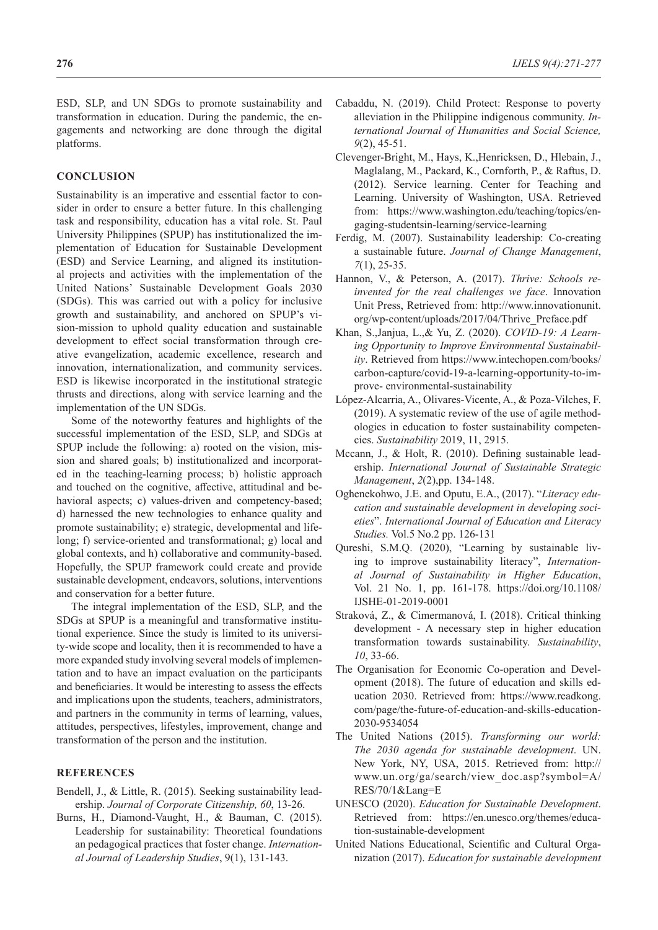ESD, SLP, and UN SDGs to promote sustainability and transformation in education. During the pandemic, the engagements and networking are done through the digital platforms.

## **CONCLUSION**

Sustainability is an imperative and essential factor to consider in order to ensure a better future. In this challenging task and responsibility, education has a vital role. St. Paul University Philippines (SPUP) has institutionalized the implementation of Education for Sustainable Development (ESD) and Service Learning, and aligned its institutional projects and activities with the implementation of the United Nations' Sustainable Development Goals 2030 (SDGs). This was carried out with a policy for inclusive growth and sustainability, and anchored on SPUP's vision-mission to uphold quality education and sustainable development to effect social transformation through creative evangelization, academic excellence, research and innovation, internationalization, and community services. ESD is likewise incorporated in the institutional strategic thrusts and directions, along with service learning and the implementation of the UN SDGs.

Some of the noteworthy features and highlights of the successful implementation of the ESD, SLP, and SDGs at SPUP include the following: a) rooted on the vision, mission and shared goals; b) institutionalized and incorporated in the teaching-learning process; b) holistic approach and touched on the cognitive, affective, attitudinal and behavioral aspects; c) values-driven and competency-based; d) harnessed the new technologies to enhance quality and promote sustainability; e) strategic, developmental and lifelong; f) service-oriented and transformational; g) local and global contexts, and h) collaborative and community-based. Hopefully, the SPUP framework could create and provide sustainable development, endeavors, solutions, interventions and conservation for a better future.

The integral implementation of the ESD, SLP, and the SDGs at SPUP is a meaningful and transformative institutional experience. Since the study is limited to its university-wide scope and locality, then it is recommended to have a more expanded study involving several models of implementation and to have an impact evaluation on the participants and beneficiaries. It would be interesting to assess the effects and implications upon the students, teachers, administrators, and partners in the community in terms of learning, values, attitudes, perspectives, lifestyles, improvement, change and transformation of the person and the institution.

## **REFERENCES**

- Bendell, J., & Little, R. (2015). Seeking sustainability leadership. *Journal of Corporate Citizenship, 60*, 13-26.
- Burns, H., Diamond-Vaught, H., & Bauman, C. (2015). Leadership for sustainability: Theoretical foundations an pedagogical practices that foster change. *International Journal of Leadership Studies*, 9(1), 131-143.
- Cabaddu, N. (2019). Child Protect: Response to poverty alleviation in the Philippine indigenous community. *International Journal of Humanities and Social Science, 9*(2), 45-51.
- Clevenger-Bright, M., Hays, K.,Henricksen, D., Hlebain, J., Maglalang, M., Packard, K., Cornforth, P., & Raftus, D. (2012). Service learning. Center for Teaching and Learning. University of Washington, USA. Retrieved from: https://www.washington.edu/teaching/topics/engaging-studentsin-learning/service-learning
- Ferdig, M. (2007). Sustainability leadership: Co-creating a sustainable future. *Journal of Change Management*, *7*(1), 25-35.
- Hannon, V., & Peterson, A. (2017). *Thrive: Schools reinvented for the real challenges we face*. Innovation Unit Press, Retrieved from: http://www.innovationunit. org/wp-content/uploads/2017/04/Thrive\_Preface.pdf
- Khan, S.,Janjua, L.,& Yu, Z. (2020). *COVID-19: A Learning Opportunity to Improve Environmental Sustainability*. Retrieved from https://www.intechopen.com/books/ carbon-capture/covid-19-a-learning-opportunity-to-improve- environmental-sustainability
- López-Alcarria, A., Olivares-Vicente, A., & Poza-Vilches, F. (2019). A systematic review of the use of agile methodologies in education to foster sustainability competencies. *Sustainability* 2019, 11, 2915.
- Mccann, J., & Holt, R. (2010). Defining sustainable leadership. *International Journal of Sustainable Strategic Management*, *2*(2),pp. 134-148.
- Oghenekohwo, J.E. and Oputu, E.A., (2017). "*Literacy education and sustainable development in developing societies*". *International Journal of Education and Literacy Studies.* Vol.5 No.2 pp. 126-131
- Qureshi, S.M.Q. (2020), "Learning by sustainable living to improve sustainability literacy", *International Journal of Sustainability in Higher Education*, Vol. 21 No. 1, pp. 161-178. https://doi.org/10.1108/ IJSHE-01-2019-0001
- Straková, Z., & Cimermanová, I. (2018). Critical thinking development - A necessary step in higher education transformation towards sustainability. *Sustainability*, *10*, 33-66.
- The Organisation for Economic Co-operation and Development (2018). The future of education and skills education 2030. Retrieved from: https://www.readkong. com/page/the-future-of-education-and-skills-education-2030-9534054
- The United Nations (2015). *Transforming our world: The 2030 agenda for sustainable development*. UN. New York, NY, USA, 2015. Retrieved from: http:// www.un.org/ga/search/view\_doc.asp?symbol=A/ RES/70/1&Lang=E
- UNESCO (2020). *Education for Sustainable Development*. Retrieved from: https://en.unesco.org/themes/education-sustainable-development
- United Nations Educational, Scientific and Cultural Organization (2017). *Education for sustainable development*